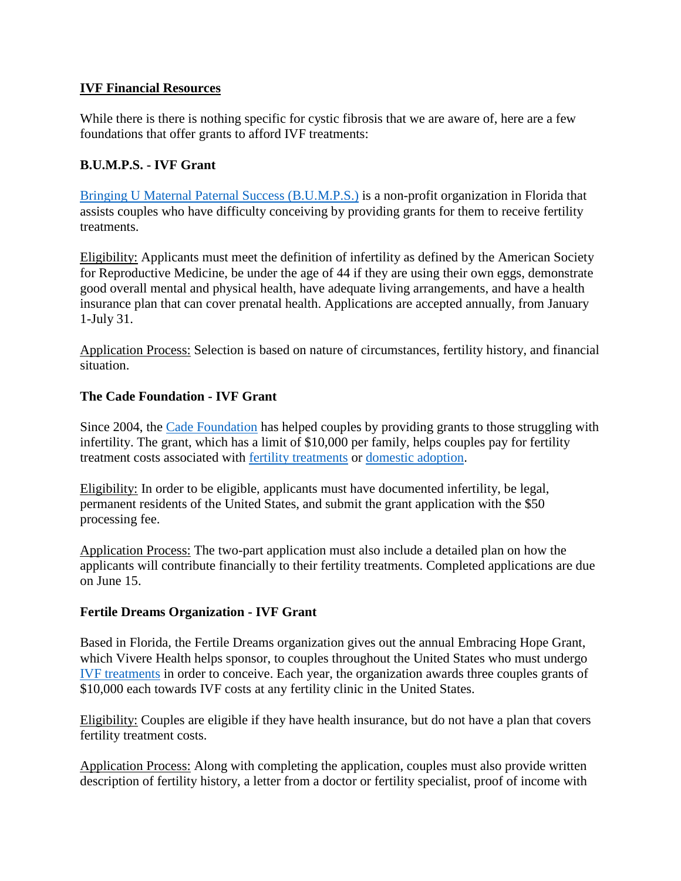### **IVF Financial Resources**

While there is there is nothing specific for cystic fibrosis that we are aware of, here are a few foundations that offer grants to afford IVF treatments:

### **B.U.M.P.S. - IVF Grant**

[Bringing U Maternal Paternal Success \(B.U.M.P.S.\)](https://mobile.fairview.org/owa/redir.aspx?REF=QQxWld9jfZuKxQaTU-QP4UbTA5HGWSurDTsZJrWfIICGODYo-jDUCAFodHRwczovL3VybGRlZmVuc2UucHJvb2Zwb2ludC5jb20vdjIvdXJsP3U9aHR0cC0zQV9fd3d3LnlvdXJidW1wLm9yZ19pbmRleC5odG1sJmQ9Q3dNRkFnJmM9ZTBxV08wTVhXRmlRZ0dXRTBVbVhkUSZyPWNiR04tMjhZZFhadkJUTWVCZUVhaFlHR1hxaElpZHQ5U1pXUWw4VXM1dmsmbT1FaWhjbU12WGpvU2JZZWlBeEtTM3FyY2xpWVR4emJhbURGNGprT2tkQmZzJnM9TUFRM1VhSDkteWx2OGlQRjRCaEVDLUh3Z0lGak1CZ2Q1d0dKLTJsM1lUdyZlPQ..) is a non-profit organization in Florida that assists couples who have difficulty conceiving by providing grants for them to receive fertility treatments.

Eligibility: Applicants must meet the definition of infertility as defined by the American Society for Reproductive Medicine, be under the age of 44 if they are using their own eggs, demonstrate good overall mental and physical health, have adequate living arrangements, and have a health insurance plan that can cover prenatal health. Applications are accepted annually, from January 1-July 31.

Application Process: Selection is based on nature of circumstances, fertility history, and financial situation.

#### **The Cade Foundation - IVF Grant**

Since 2004, the [Cade Foundation](https://mobile.fairview.org/owa/redir.aspx?REF=3xKdaJMu26rNkgR0I8xfnUMJTuPqoj33Kvl6B4W0GC2GODYo-jDUCAFodHRwczovL3VybGRlZmVuc2UucHJvb2Zwb2ludC5jb20vdjIvdXJsP3U9aHR0cC0zQV9fd3d3LmNhZGVmb3VuZGF0aW9uLm9yZ19pbmRleC5waHAmZD1Dd01GQWcmYz1lMHFXTzBNWFdGaVFnR1dFMFVtWGRRJnI9Y2JHTi0yOFlkWFp2QlRNZUJlRWFoWUdHWHFoSWlkdDlTWldRbDhVczV2ayZtPUVpaGNtTXZYam9TYlllaUF4S1MzcXJjbGlZVHh6YmFtREY0amtPa2RCZnMmcz1SSWV5TXo3c0I4QUFMTTg0Nm55Q2FZUkg3LURTZWtVdVU0bENEZnU4aUFvJmU9) has helped couples by providing grants to those struggling with infertility. The grant, which has a limit of \$10,000 per family, helps couples pay for fertility treatment costs associated with [fertility treatments](https://mobile.fairview.org/owa/redir.aspx?REF=_xeE3T_7oQJ9ESeeyyBg-GBMz8vvsmFSx83JmANqhDaGODYo-jDUCAFodHRwczovL3VybGRlZmVuc2UucHJvb2Zwb2ludC5jb20vdjIvdXJsP3U9aHR0cC0zQV9fd3d3LmZlcnRpbGl0eWF1dGhvcml0eS5jb21fdHJlYXRtZW50JmQ9Q3dNRkFnJmM9ZTBxV08wTVhXRmlRZ0dXRTBVbVhkUSZyPWNiR04tMjhZZFhadkJUTWVCZUVhaFlHR1hxaElpZHQ5U1pXUWw4VXM1dmsmbT1FaWhjbU12WGpvU2JZZWlBeEtTM3FyY2xpWVR4emJhbURGNGprT2tkQmZzJnM9T21IWGZhYmJMM1JkY2xIaDg5cDFabTFyeDBjQmEtRnJIcV9TLUdwWGlZbyZlPQ..) or [domestic adoption.](https://mobile.fairview.org/owa/redir.aspx?REF=rVdU15N5ex23j3M4oJ51C-bKo8SIIKktfUiDAF6P1yuGODYo-jDUCAFodHRwczovL3VybGRlZmVuc2UucHJvb2Zwb2ludC5jb20vdjIvdXJsP3U9aHR0cC0zQV9fd3d3LmZlcnRpbGl0eWF1dGhvcml0eS5jb21fYXJ0aWNsZXNfZG9tZXN0aWMtMkRhZG9wdGlvbnMmZD1Dd01GQWcmYz1lMHFXTzBNWFdGaVFnR1dFMFVtWGRRJnI9Y2JHTi0yOFlkWFp2QlRNZUJlRWFoWUdHWHFoSWlkdDlTWldRbDhVczV2ayZtPUVpaGNtTXZYam9TYlllaUF4S1MzcXJjbGlZVHh6YmFtREY0amtPa2RCZnMmcz1wTk5qWl9abjM4RmRqa0g0eFFBeTlXSFNCYVlJN20tcUlnWllmaTBzb1FrJmU9)

Eligibility: In order to be eligible, applicants must have documented infertility, be legal, permanent residents of the United States, and submit the grant application with the \$50 processing fee.

Application Process: The two-part application must also include a detailed plan on how the applicants will contribute financially to their fertility treatments. Completed applications are due on June 15.

#### **Fertile Dreams Organization - IVF Grant**

Based in Florida, the Fertile Dreams organization gives out the annual Embracing Hope Grant, which Vivere Health helps sponsor, to couples throughout the United States who must undergo [IVF treatments](https://mobile.fairview.org/owa/redir.aspx?REF=s7YEct0eVSa9yQQ0NGVEqhvvF4jCwDgBYqdwC5wtF6iGODYo-jDUCAFodHRwczovL3VybGRlZmVuc2UucHJvb2Zwb2ludC5jb20vdjIvdXJsP3U9aHR0cC0zQV9fd3d3LmZlcnRpbGl0eWF1dGhvcml0eS5jb21fdHJlYXRtZW50X3ZpdHJvLTJEZmVydGlsaXphdGlvbi0yRGl2ZiZkPUN3TUZBZyZjPWUwcVdPME1YV0ZpUWdHV0UwVW1YZFEmcj1jYkdOLTI4WWRYWnZCVE1lQmVFYWhZR0dYcWhJaWR0OVNaV1FsOFVzNXZrJm09RWloY21Ndlhqb1NiWWVpQXhLUzNxcmNsaVlUeHpiYW1ERjRqa09rZEJmcyZzPWp6dXVJN28wcml2X19UVlN4aW1FalRoUTZ2dHNwREE2R0FnNXV3bnhjb3MmZT0.) in order to conceive. Each year, the organization awards three couples grants of \$10,000 each towards IVF costs at any fertility clinic in the United States.

Eligibility: Couples are eligible if they have health insurance, but do not have a plan that covers fertility treatment costs.

Application Process: Along with completing the application, couples must also provide written description of fertility history, a letter from a doctor or fertility specialist, proof of income with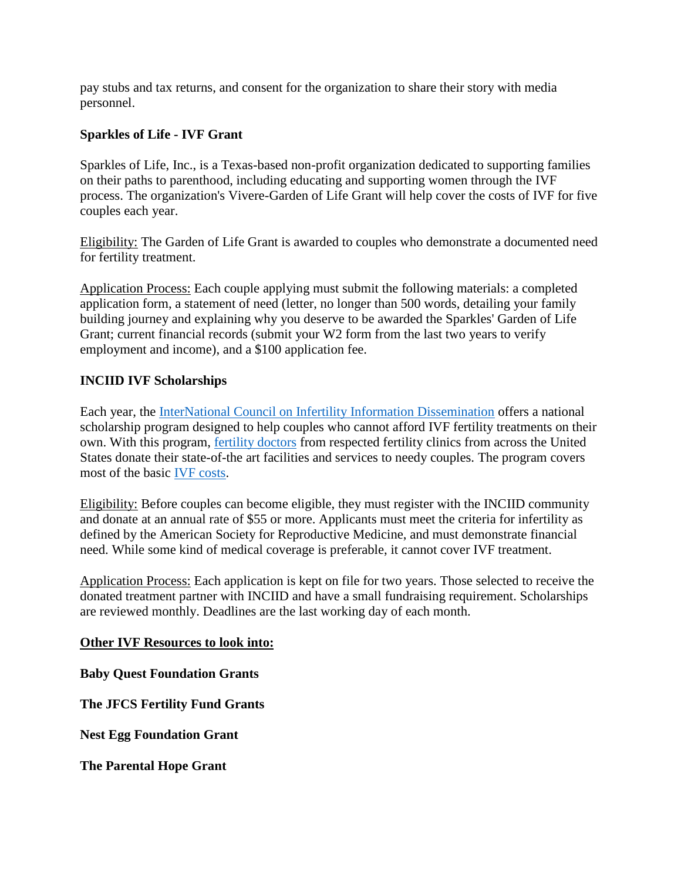pay stubs and tax returns, and consent for the organization to share their story with media personnel.

# **Sparkles of Life - IVF Grant**

Sparkles of Life, Inc., is a Texas-based non-profit organization dedicated to supporting families on their paths to parenthood, including educating and supporting women through the IVF process. The organization's Vivere-Garden of Life Grant will help cover the costs of IVF for five couples each year.

Eligibility: The Garden of Life Grant is awarded to couples who demonstrate a documented need for fertility treatment.

Application Process: Each couple applying must submit the following materials: a completed application form, a statement of need (letter, no longer than 500 words, detailing your family building journey and explaining why you deserve to be awarded the Sparkles' Garden of Life Grant; current financial records (submit your W2 form from the last two years to verify employment and income), and a \$100 application fee.

# **INCIID IVF Scholarships**

Each year, the [InterNational Council on Infertility Information Dissemination](https://mobile.fairview.org/owa/redir.aspx?REF=UXSsfLfsqiOJ_ngfD3UDHrOVpX3WKQ5dqPrzaf5F516GODYo-jDUCAFodHRwczovL3VybGRlZmVuc2UucHJvb2Zwb2ludC5jb20vdjIvdXJsP3U9aHR0cC0zQV9fd3d3LmluY2lpZC5vcmdfaW5kZXgucGhwJmQ9Q3dNRkFnJmM9ZTBxV08wTVhXRmlRZ0dXRTBVbVhkUSZyPWNiR04tMjhZZFhadkJUTWVCZUVhaFlHR1hxaElpZHQ5U1pXUWw4VXM1dmsmbT1FaWhjbU12WGpvU2JZZWlBeEtTM3FyY2xpWVR4emJhbURGNGprT2tkQmZzJnM9QmJSRWZWUHlWdmIzQ2RZcXVITUhIVXBBLWlzMFF0ZkMwSzlFN19XMUl2TSZlPQ..) offers a national scholarship program designed to help couples who cannot afford IVF fertility treatments on their own. With this program, [fertility doctors](https://mobile.fairview.org/owa/redir.aspx?REF=tlmTPOyQ6pXl2zoaMuVfOI94eE4CSM6CTNmD7z-wpQmGODYo-jDUCAFodHRwczovL3VybGRlZmVuc2UucHJvb2Zwb2ludC5jb20vdjIvdXJsP3U9aHR0cC0zQV9fd3d3LmZlcnRpbGl0eWF1dGhvcml0eS5jb21fdHJlYXRtZW50X2dldHRpbmctMkRzdGFydGVkX3JlcHJvZHVjdGl2ZS0yRGVuZG9jcmlub2xvZ2lzdCZkPUN3TUZBZyZjPWUwcVdPME1YV0ZpUWdHV0UwVW1YZFEmcj1jYkdOLTI4WWRYWnZCVE1lQmVFYWhZR0dYcWhJaWR0OVNaV1FsOFVzNXZrJm09RWloY21Ndlhqb1NiWWVpQXhLUzNxcmNsaVlUeHpiYW1ERjRqa09rZEJmcyZzPTNjRE9ZelRNcldpdzNBSzBRVHpRbEtuTG1SVDZsUk1rRWozTVcyQnYtSk0mZT0.) from respected fertility clinics from across the United States donate their state-of-the art facilities and services to needy couples. The program covers most of the basic [IVF costs.](https://mobile.fairview.org/owa/redir.aspx?REF=o54tebtCqvpetYZWAP2WwvioqaB9acnvuJaj0V72x8yGODYo-jDUCAFodHRwczovL3VybGRlZmVuc2UucHJvb2Zwb2ludC5jb20vdjIvdXJsP3U9aHR0cC0zQV9fd3d3LmZlcnRpbGl0eWF1dGhvcml0eS5jb21fYXJ0aWNsZXNfdHJlYXRtZW50LTJEY29zdHMmZD1Dd01GQWcmYz1lMHFXTzBNWFdGaVFnR1dFMFVtWGRRJnI9Y2JHTi0yOFlkWFp2QlRNZUJlRWFoWUdHWHFoSWlkdDlTWldRbDhVczV2ayZtPUVpaGNtTXZYam9TYlllaUF4S1MzcXJjbGlZVHh6YmFtREY0amtPa2RCZnMmcz1OOGgzMzJtQXQxR0dVd0l1azFjU0pBdUlWMXRDVVIzUXRuZDVDT29rLTMwJmU9)

Eligibility: Before couples can become eligible, they must register with the INCIID community and donate at an annual rate of \$55 or more. Applicants must meet the criteria for infertility as defined by the American Society for Reproductive Medicine, and must demonstrate financial need. While some kind of medical coverage is preferable, it cannot cover IVF treatment.

Application Process: Each application is kept on file for two years. Those selected to receive the donated treatment partner with INCIID and have a small fundraising requirement. Scholarships are reviewed monthly. Deadlines are the last working day of each month.

## **Other IVF Resources to look into:**

**Baby Quest Foundation Grants**

**The JFCS Fertility Fund Grants**

**Nest Egg Foundation Grant**

**The Parental Hope Grant**